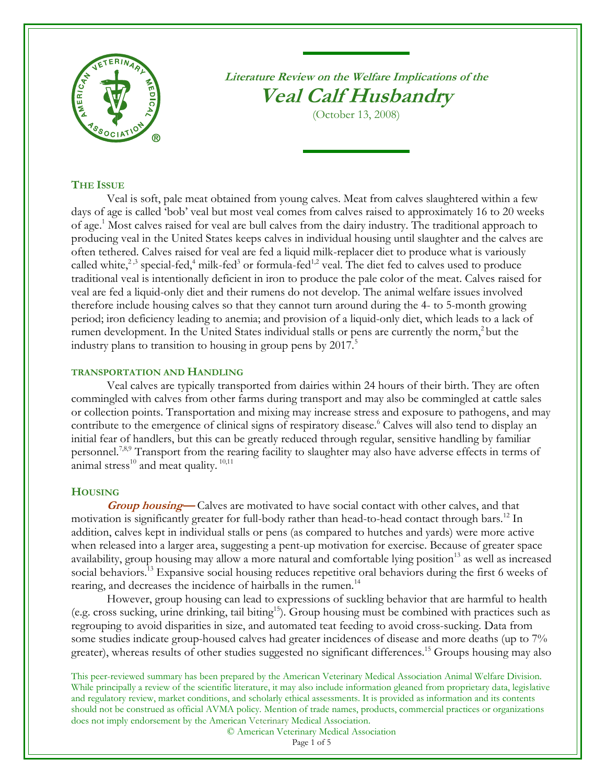

**Literature Review on the Welfare Implications of the Veal Calf Husbandry**

(October 13, 2008)

# **THE ISSUE**

<span id="page-0-6"></span><span id="page-0-2"></span><span id="page-0-1"></span><span id="page-0-0"></span>Veal is soft, pale meat obtained from young calves. Meat from calves slaughtered within a few days of age is called 'bob' veal but most veal comes from calves raised to approximately 16 to 20 weeks of age.<sup>1</sup> Most calves raised for veal are bull calves from the dairy industry. The traditional approach to producing veal in the United States keeps calves in individual housing until slaughter and the calves are often tethered. Calves raised for veal are fed a liquid milk-replacer diet to produce what is variously calle[d](#page-0-0) white,<sup>2,3</sup> special-fed,<sup>4</sup> milk-fed<sup>3</sup> or formula-fed<sup>[1,](#page-0-1)[2](#page-0-2)</sup> veal. The diet fed to calves used to produce traditional veal is intentionally deficient in iron to produce the pale color of the meat. Calves raised for veal are fed a liquid-only diet and their rumens do not develop. The animal welfare issues involved therefore include housing calves so that they cannot turn around during the 4- to 5-month growing period; iron deficiency leading to anemia; and provision of a liquid-only diet, which leads to a lack of rumen development. In the United States individual stalls or pens are currently the norm,<sup>[2](#page-0-2)</sup> but the industry plans to transition to housing in group pens by  $2017<sup>5</sup>$ 

# **TRANSPORTATION AND HANDLING**

Veal calves are typically transported from dairies within 24 hours of their birth. They are often commingled with calves from other farms during transport and may also be commingled at cattle sales or collection points. Transportation and mixing may increase stress and exposure to pathogens, and may contribute to the emergence of clinical signs of respiratory disease.<sup>6</sup> Calves will also tend to display an initial fear of handlers, but this can be greatly reduced through regular, sensitive handling by familiar personnel.<sup>7,8,9</sup> Transport from the rearing facility to slaughter may also have adverse effects in terms of animal stress $^{10}$  and meat quality.  $^{10,11}$  $^{10,11}$  $^{10,11}$ 

## <span id="page-0-3"></span>**HOUSING**

**Group housing**—Calves are motivated to have social contact with other calves, and that motivation is significantly greater for full-body rather than head-to-head contact through bars.<sup>12</sup> In addition, calves kept in individual stalls or pens (as compared to hutches and yards) were more active when released into a larger area, suggesting a pent-up motivation for exercise. Because of greater space availability, group housing may allow a more natural and comfortable lying position<sup>13</sup> as well as increased social behaviors.<sup>[13](#page-0-4)</sup> Expansive social housing reduces repetitive oral behaviors during the first 6 weeks of rearing, and decreases the incidence of hairballs in the rumen.<sup>14</sup>

However, group housing can lead to expressions of suckling behavior that are harmful to health (e.g. cross sucking, urine drinking, tail biting[15](#page-0-5)). Group housing must be combined with practices such as regrouping to avoid disparities in size, and automated teat feeding to avoid cross-sucking. Data from some studies indicate group-housed calves had greater incidences of disease and more deaths (up to 7% greater), whereas results of other studies suggested no significant differences. <sup>15</sup> Groups housing may also

This peer-reviewed summary has been prepared by the American Veterinary Medical Association Animal Welfare Division. While principally a review of the scientific literature, it may also include information gleaned from proprietary data, legislative and regulatory review, market conditions, and scholarly ethical assessments. It is provided as information and its contents should not be construed as official AVMA policy. Mention of trade names, products, commercial practices or organizations does not imply endorsement by the American Veterinary Medical Association.

© American Veterinary Medical Association

<span id="page-0-7"></span><span id="page-0-5"></span><span id="page-0-4"></span>Page 1 of 5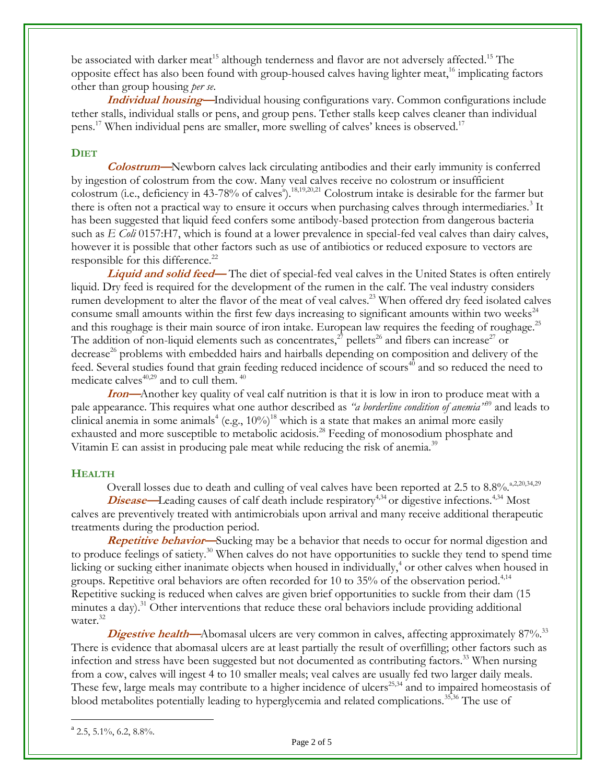be associated with darker meat<sup>[15](#page-0-5)</sup> although tenderness and flavor are not adversely affected.<sup>15</sup> The opposite effect has also been found with group-housed calves having lighter meat,<sup>16</sup> implicating factors other than group housing *per se*.

<span id="page-1-0"></span>**Individual housing—**Individual housing configurations vary. Common configurations include tether stalls, individual stalls or pens, and group pens. Tether stalls keep calves cleaner than individual pens.<sup>[17](#page-1-0)</sup> When individual pens are smaller, more swelling of calves' knees is observed.<sup>17</sup>

## **DIET**

<span id="page-1-5"></span><span id="page-1-4"></span>**Colostrum—**Newborn calves lack circulating antibodies and their early immunity is conferred by ingestion of colostrum from the cow. Many veal calves receive no colostrum or insufficient colostrum (i.e., deficiency in 43-78% of calves<sup>4</sup>).<sup>18,19,20,21</sup> Colostrum intake is desirable for the farmer but there is often not a practical way to ensure it occurs when purchasing calves through intermediaries[.](#page-0-0)<sup>3</sup> It has been suggested that liquid feed confers some antibody-based protection from dangerous bacteria such as *E Coli* 0157:H7, which is found at a lower prevalence in special-fed veal calves than dairy calves, however it is possible that other factors such as use of antibiotics or reduced exposure to vectors are responsible for this difference.<sup>22</sup>

**Liquid and solid feed—The diet of special-fed veal calves in the United States is often entirely** liquid. Dry feed is required for the development of the rumen in the calf. The veal industry considers rumen development to alter the flavor of the meat of veal calves.<sup>23</sup> When offered dry feed isolated calves consume small amounts within the first few days increasing to significant amounts within two weeks $^{24}$ and this roughage is their main source of iron intake. European law requires the feeding of roughage.<sup>25</sup> The addition of non-liquid elements such as concentrates,<sup>[27](#page-1-1)</sup> pellets<sup>26</sup> and fibers can increase<sup>27</sup> or decrease<sup>[26](#page-1-2)</sup> problems with embedded hairs and hairballs depending on composition and delivery of the feed. Several studies found that grain feeding reduced incidence of scours<sup>[40](#page-2-0)</sup> and so reduced the need to medicate calves $40,29$  $40,29$  and to cull them.  $40$ 

**Iron—**Another key quality of veal calf nutrition is that it is low in iron to produce meat with a pale appearance. This requires what one author described as *"a borderline condition of anemia"*[39](#page-2-1) and leads to clinical anemia in [s](#page-0-6)ome animals<sup>4</sup> (e.g.,  $10\%$ )<sup>[18](#page-1-4)</sup> which is a state that makes an animal more easily exhausted and more susceptible to metabolic acidosis.<sup>28</sup> Feeding of monosodium phosphate and Vitamin E can assist in producing pale meat while reducing the risk of anemia.<sup>[39](#page-2-1)</sup>

### **HEALTH**

<span id="page-1-8"></span><span id="page-1-7"></span><span id="page-1-3"></span><span id="page-1-2"></span><span id="page-1-1"></span>Overall losses due to death and culling of veal calves have been reported at 2.5 to  $8.8\%$ .  $\substack{a,2,20,34,29}$  $\substack{a,2,20,34,29}$  $\substack{a,2,20,34,29}$  $\substack{a,2,20,34,29}$  $\substack{a,2,20,34,29}$ 

**Disease**—Leading causes of calf death include respiratory<sup>[4,](#page-0-6)[34](#page-1-6)</sup> or digestive infections.<sup>4,34</sup> Most calves are preventively treated with antimicrobials upon arrival and many receive additional therapeutic treatments during the production period.

**Repetitive behavior—**Sucking may be a behavior that needs to occur for normal digestion and to produce feelings of satiety.<sup>30</sup> When calves do not have opportunities to suckle they tend to spend time licking or sucking either inanimate objects when housed in individually[,](#page-0-6)<sup>4</sup> or other calves when housed in groups. Repetitive oral behaviors are often recorded for 10 to 35% of the observation period.<sup>[4,](#page-0-6)[14](#page-0-7)</sup> Repetitive sucking is reduced when calves are given brief opportunities to suckle from their dam (15 minutes a day).<sup>31</sup> Other interventions that reduce these oral behaviors include providing additional water.<sup>32</sup>

**Digestive health—**Abomasal ulcers are very common in calves, affecting approximately 87%.<sup>33</sup> There is evidence that abomasal ulcers are at least partially the result of overfilling; other factors such as infection and stress have been suggested but not documented as contributing factors.<sup>[33](#page-1-7)</sup> When nursing from a cow, calves will ingest 4 to 10 smaller meals; veal calves are usually fed two larger daily meals. These few, large meals may contribute to a higher incidence of ulcers<sup>[25,3](#page-1-8)4</sup> and to impaired homeostasis of blood metabolites potentially leading to hyperglycemia and related complications.<sup>35,36</sup> The use of

<span id="page-1-6"></span> $\overline{a}$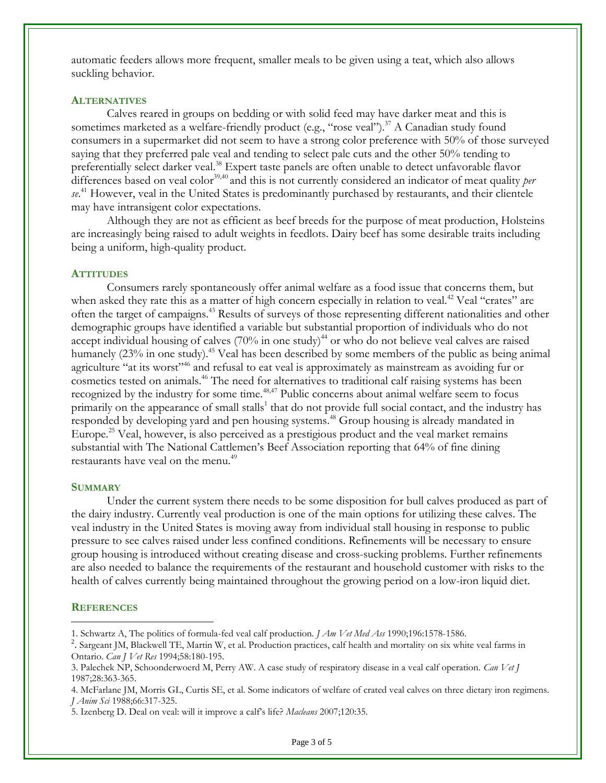automatic feeders allows more frequent, smaller meals to be given using a teat, which also allows suckling behavior.

### **ALTERNATIVES**

Calves reared in groups on bedding or with solid feed may have darker meat and this is sometimes marketed as a welfare-friendly product (e.g., "rose veal").<sup>37</sup> A Canadian study found consumers in a supermarket did not seem to have a strong color preference with 50% of those surveyed saying that they preferred pale veal and tending to select pale cuts and the other 50% tending to preferentially select darker veal.<sup>38</sup> Expert taste panels are often unable to detect unfavorable flavor differences based on veal color<sup>39,40</sup> and this is not currently considered an indicator of meat quality *per se*. <sup>41</sup> However, veal in the United States is predominantly purchased by restaurants, and their clientele may have intransigent color expectations.

<span id="page-2-1"></span><span id="page-2-0"></span>Although they are not as efficient as beef breeds for the purpose of meat production, Holsteins are increasingly being raised to adult weights in feedlots. Dairy beef has some desirable traits including being a uniform, high-quality product.

#### **ATTITUDES**

<span id="page-2-2"></span>Consumers rarely spontaneously offer animal welfare as a food issue that concerns them, but when asked they rate this as a matter of high concern especially in relation to veal.<sup>42</sup> Veal "crates" are often the target of campaigns. <sup>43</sup> Results of surveys of those representing different nationalities and other demographic groups have identified a variable but substantial proportion of individuals who do not accept individual housing of calves (70% in one study)<sup>44</sup> or who do not believe veal calves are raised humanely (23% in one study).<sup>45</sup> Veal has been described by some members of the public as being animal agriculture "at its worst"<sup>46</sup> and refusal to eat veal is approximately as mainstream as avoiding fur or cosmetics tested on animals.<sup>[46](#page-2-2)</sup> The need for alternatives to traditional calf raising systems has been recognized by the industry for some time.<sup>[48,4](#page-2-3)7</sup> Public concerns about animal welfare seem to focus primarily on the appearance of [s](#page-0-1)mall stalls<sup>1</sup> that do not provide full social contact, and the industry has responded by developing yard and pen housing systems. <sup>48</sup> Group housing is already mandated in Europe.<sup>[25](#page-1-8)</sup> Veal, however, is also perceived as a prestigious product and the veal market remains substantial with The National Cattlemen's Beef Association reporting that 64% of fine dining restaurants have veal on the menu.<sup>49</sup>

### <span id="page-2-3"></span>**SUMMARY**

Under the current system there needs to be some disposition for bull calves produced as part of the dairy industry. Currently veal production is one of the main options for utilizing these calves. The veal industry in the United States is moving away from individual stall housing in response to public pressure to see calves raised under less confined conditions. Refinements will be necessary to ensure group housing is introduced without creating disease and cross-sucking problems. Further refinements are also needed to balance the requirements of the restaurant and household customer with risks to the health of calves currently being maintained throughout the growing period on a low-iron liquid diet.

#### **REFERENCES**

 $\overline{a}$ 

<sup>1.</sup> Schwartz A, The politics of formula-fed veal calf production. *J Am Vet Med Ass* 1990;196:1578-1586.

<sup>&</sup>lt;sup>2</sup>. Sargeant JM, Blackwell TE, Martin W, et al. Production practices, calf health and mortality on six white veal farms in Ontario. *Can J Vet Res* 1994;58:180-195.

<sup>3.</sup> Palechek NP, Schoonderwoerd M, Perry AW. A case study of respiratory disease in a veal calf operation. *Can Vet J* 1987;28:363-365.

<sup>4.</sup> McFarlane JM, Morris GL, Curtis SE, et al. Some indicators of welfare of crated veal calves on three dietary iron regimens. *J Anim Sci* 1988;66:317-325.

<sup>5</sup>. Izenberg D. Deal on veal: will it improve a calf's life? *Macleans* 2007;120:35.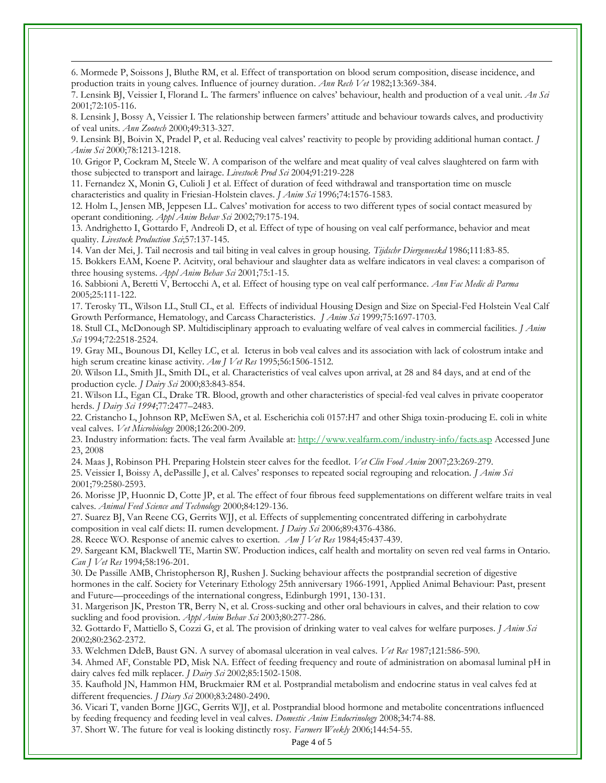6. Mormede P, Soissons J, Bluthe RM, et al. Effect of transportation on blood serum composition, disease incidence, and production traits in young calves. Influence of journey duration*. Ann Rech Vet* 1982;13:369-384.

 $\overline{a}$ 

7. Lensink BJ, Veissier I, Florand L. The farmers' influence on calves' behaviour, health and production of a veal unit. *An Sci* 2001;72:105-116.

8. Lensink J, Bossy A, Veissier I. The relationship between farmers' attitude and behaviour towards calves, and productivity of veal units. *Ann Zootech* 2000;49:313-327.

9. Lensink BJ, Boivin X, Pradel P, et al. Reducing veal calves' reactivity to people by providing additional human contact. *J Anim Sci* 2000;78:1213-1218.

10. Grigor P, Cockram M, Steele W. A comparison of the welfare and meat quality of veal calves slaughtered on farm with those subjected to transport and lairage. *Livestock Prod Sci* 2004;91:219-228

11. Fernandez X, Monin G, Culioli J et al. Effect of duration of feed withdrawal and transportation time on muscle characteristics and quality in Friesian-Holstein claves. *J Anim Sci* 1996;74:1576-1583.

12. Holm L, Jensen MB, Jeppesen LL. Calves' motivation for access to two different types of social contact measured by operant conditioning. *Appl Anim Behav Sci* 2002;79:175-194.

13. Andrighetto I, Gottardo F, Andreoli D, et al. Effect of type of housing on veal calf performance, behavior and meat quality. *Livestock Production Sci*;57:137-145.

14. Van der Mei, J. Tail necrosis and tail biting in veal calves in group housing. *Tijdschr Diergeneeskd* 1986;111:83-85. 15. Bokkers EAM, Koene P. Acitvity, oral behaviour and slaughter data as welfare indicators in veal claves: a comparison of three housing systems. *Appl Anim Behav Sci* 2001;75:1-15.

16. Sabbioni A, Beretti V, Bertocchi A, et al. Effect of housing type on veal calf performance. *Ann Fac Medic di Parma* 2005;25:111-122.

17. Terosky TL, Wilson LL, Stull CL, et al. Effects of individual Housing Design and Size on Special-Fed Holstein Veal Calf Growth Performance, Hematology, and Carcass Characteristics. *J Anim Sci* 1999;75:1697-1703.

18. Stull CL, McDonough SP. Multidisciplinary approach to evaluating welfare of veal calves in commercial facilities. *J Anim Sci* 1994;72:2518-2524.

19. Gray ML, Bounous DI, Kelley LC, et al. Icterus in bob veal calves and its association with lack of colostrum intake and high serum creatine kinase activity. *Am J Vet Res* 1995;56:1506-1512.

20. Wilson LL, Smith JL, Smith DL, et al. Characteristics of veal calves upon arrival, at 28 and 84 days, and at end of the production cycle*. J Dairy Sci* 2000;83:843-854.

21. Wilson LL, Egan CL, Drake TR. Blood, growth and other characteristics of special-fed veal calves in private cooperator herds. *J Dairy Sci 1994*;77:2477–2483.

22. Cristancho L, Johnson RP, McEwen SA, et al. Escherichia coli 0157:H7 and other Shiga toxin-producing E. coli in white veal calves. *Vet Microbiology* 2008;126:200-209.

23. Industry information: facts. The veal farm Available at:<http://www.vealfarm.com/industry-info/facts.asp> Accessed June 23, 2008

24. Maas J, Robinson PH. Preparing Holstein steer calves for the feedlot. *Vet Clin Food Anim* 2007;23:269-279.

25. Veissier I, Boissy A, dePassille J, et al. Calves' responses to repeated social regrouping and relocation. *J Anim Sci* 2001;79:2580-2593.

26. Morisse JP, Huonnic D, Cotte JP, et al. The effect of four fibrous feed supplementations on different welfare traits in veal calves. *Animal Feed Science and Technology* 2000;84:129-136.

27. Suarez BJ, Van Reene CG, Gerrits WJJ, et al. Effects of supplementing concentrated differing in carbohydrate composition in veal calf diets: II. rumen development. *J Dairy Sci* 2006;89:4376-4386.

28. Reece WO. Response of anemic calves to exertion. *Am J Vet Res* 1984;45:437-439.

29. Sargeant KM, Blackwell TE, Martin SW. Production indices, calf health and mortality on seven red veal farms in Ontario. *Can J Vet Res* 1994;58:196-201.

30. De Passille AMB, Christopherson RJ, Rushen J. Sucking behaviour affects the postprandial secretion of digestive hormones in the calf. Society for Veterinary Ethology 25th anniversary 1966-1991, Applied Animal Behaviour: Past, present and Future—proceedings of the international congress, Edinburgh 1991, 130-131.

31. Margerison JK, Preston TR, Berry N, et al. Cross-sucking and other oral behaviours in calves, and their relation to cow suckling and food provision. *Appl Anim Behav Sci* 2003;80:277-286.

32. Gottardo F, Mattiello S, Cozzi G, et al. The provision of drinking water to veal calves for welfare purposes. *J Anim Sci* 2002;80:2362-2372.

33. Welchmen DdeB, Baust GN. A survey of abomasal ulceration in veal calves. *Vet Rec* 1987;121:586-590.

34. Ahmed AF, Constable PD, Misk NA. Effect of feeding frequency and route of administration on abomasal luminal pH in dairy calves fed milk replacer. *J Dairy Sci* 2002;85:1502-1508.

35. Kaufhold JN, Hammon HM, Bruckmaier RM et al. Postprandial metabolism and endocrine status in veal calves fed at different frequencies. *J Diary Sci* 2000;83:2480-2490.

36. Vicari T, vanden Borne JJGC, Gerrits WJJ, et al. Postprandial blood hormone and metabolite concentrations influenced by feeding frequency and feeding level in veal calves. *Domestic Anim Endocrinology* 2008;34:74-88. 37. Short W. The future for veal is looking distinctly rosy. *Farmers Weekly* 2006;144:54-55.

Page 4 of 5